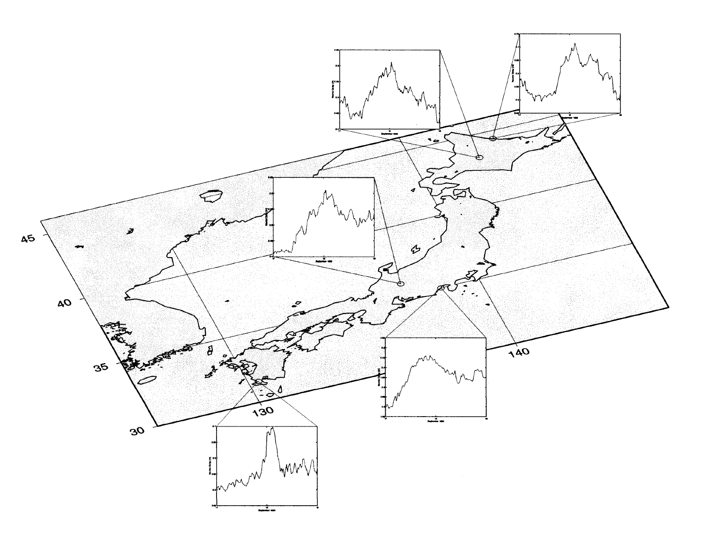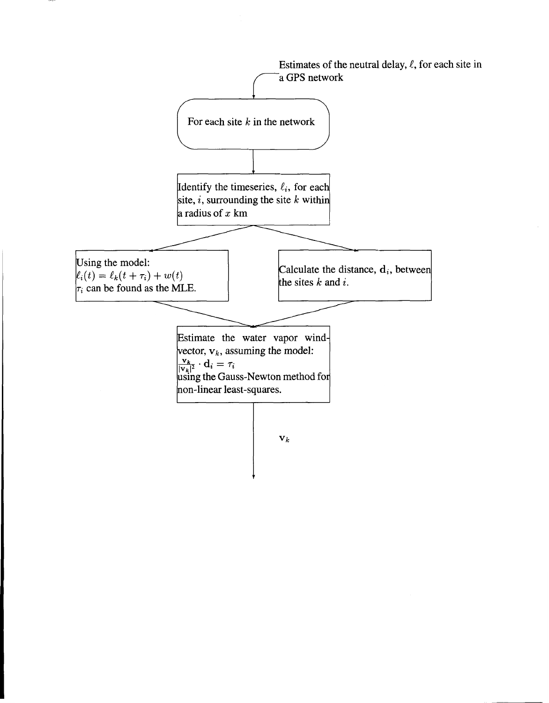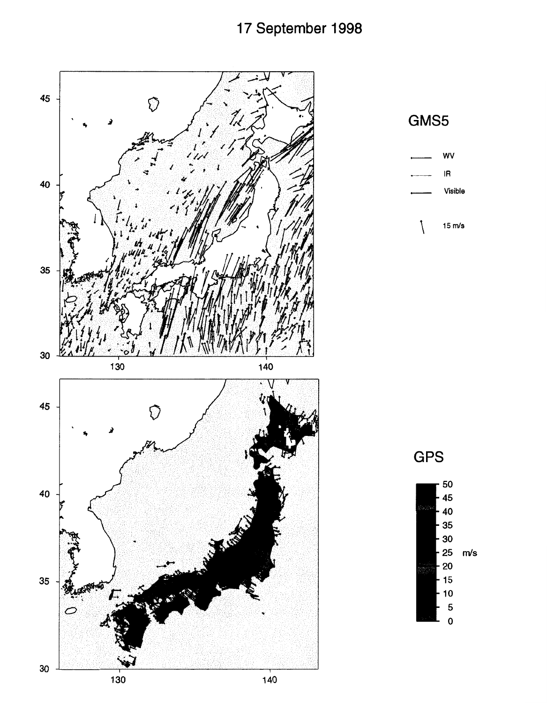## **17 September** 1998



## GMS5



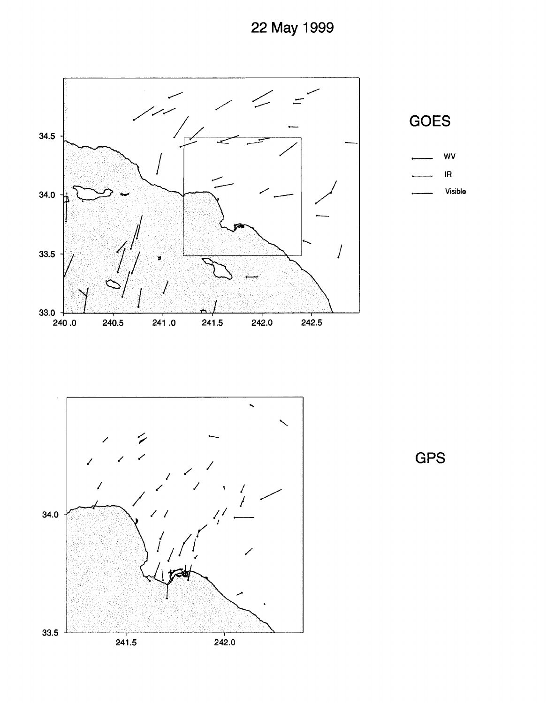





GPS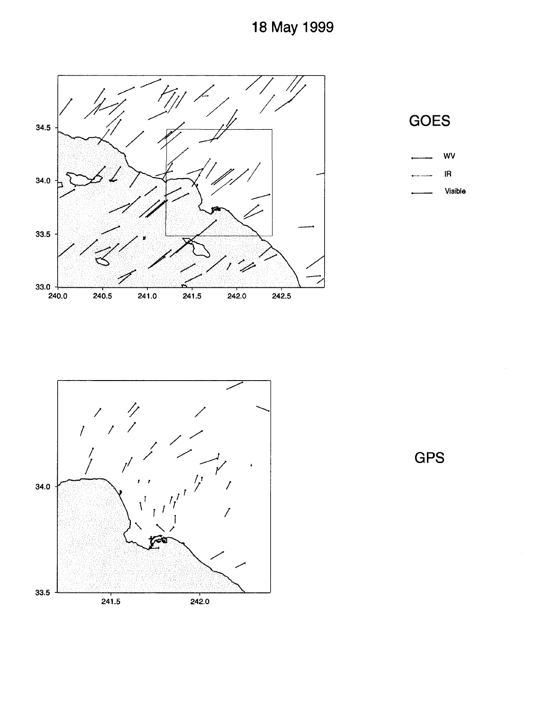





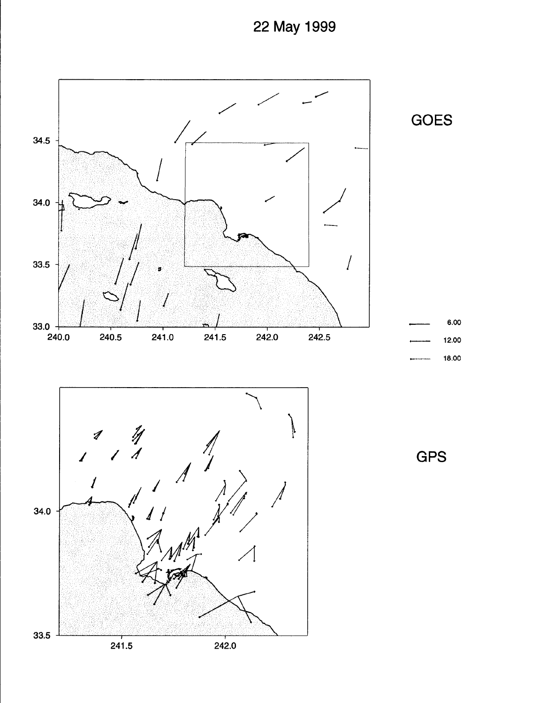